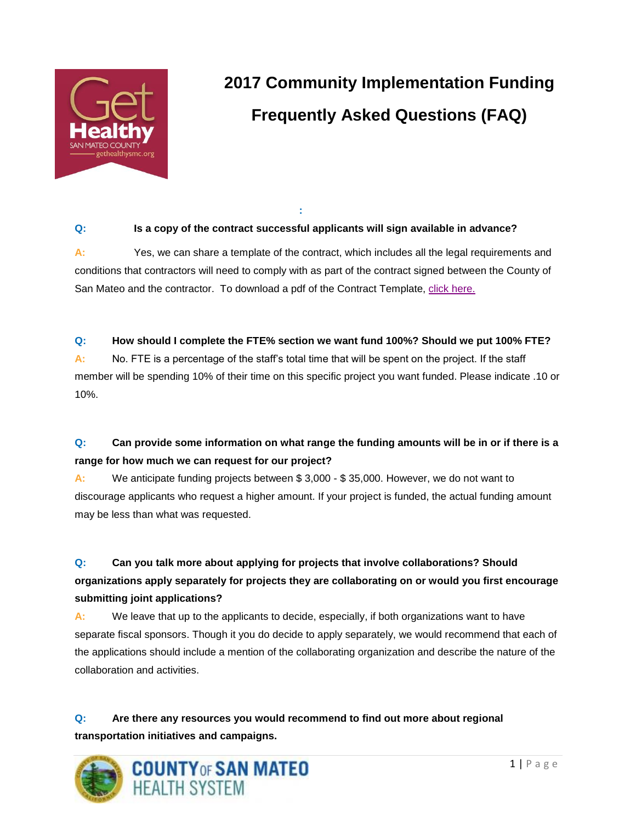

# **2017 Community Implementation Funding Frequently Asked Questions (FAQ)**

## **: Q: Is a copy of the contract successful applicants will sign available in advance?**

**A:** Yes, we can share a template of the contract, which includes all the legal requirements and conditions that contractors will need to comply with as part of the contract signed between the County of San Mateo and the contractor. To download a pdf of the Contract Template, [click here.](http://www.gethealthysmc.org/sites/main/files/file-attachments/smc_contract_template_2016.pdf)

#### **Q: How should I complete the FTE% section we want fund 100%? Should we put 100% FTE?**

**A:** No. FTE is a percentage of the staff's total time that will be spent on the project. If the staff member will be spending 10% of their time on this specific project you want funded. Please indicate .10 or 10%.

## **Q: Can provide some information on what range the funding amounts will be in or if there is a range for how much we can request for our project?**

**A:** We anticipate funding projects between \$ 3,000 - \$ 35,000. However, we do not want to discourage applicants who request a higher amount. If your project is funded, the actual funding amount may be less than what was requested.

# **Q: Can you talk more about applying for projects that involve collaborations? Should organizations apply separately for projects they are collaborating on or would you first encourage submitting joint applications?**

**A:** We leave that up to the applicants to decide, especially, if both organizations want to have separate fiscal sponsors. Though it you do decide to apply separately, we would recommend that each of the applications should include a mention of the collaborating organization and describe the nature of the collaboration and activities.

# **Q: Are there any resources you would recommend to find out more about regional transportation initiatives and campaigns.**

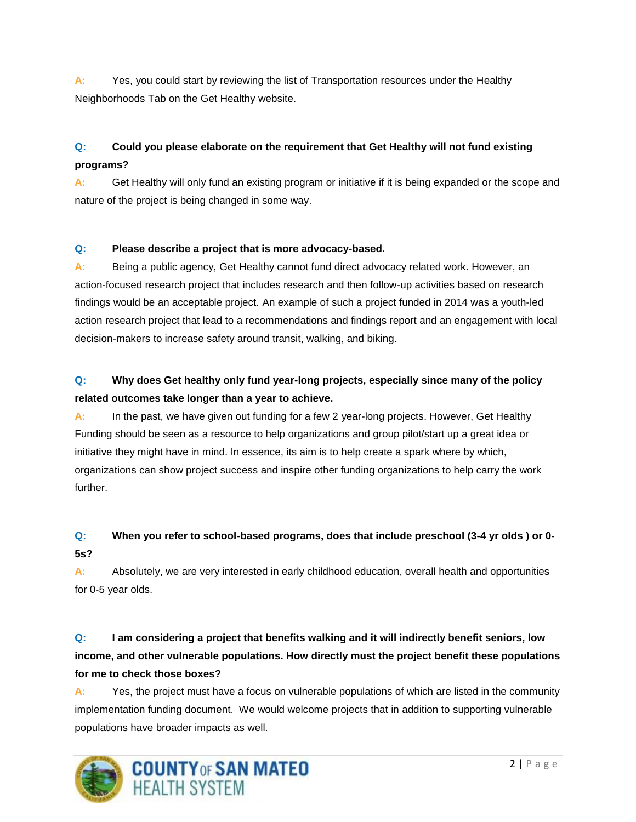**A:** Yes, you could start by reviewing the list of Transportation resources under the Healthy Neighborhoods Tab on the Get Healthy website.

# **Q: Could you please elaborate on the requirement that Get Healthy will not fund existing programs?**

**A:** Get Healthy will only fund an existing program or initiative if it is being expanded or the scope and nature of the project is being changed in some way.

## **Q: Please describe a project that is more advocacy-based.**

**A:** Being a public agency, Get Healthy cannot fund direct advocacy related work. However, an action-focused research project that includes research and then follow-up activities based on research findings would be an acceptable project. An example of such a project funded in 2014 was a youth-led action research project that lead to a recommendations and findings report and an engagement with local decision-makers to increase safety around transit, walking, and biking.

## **Q: Why does Get healthy only fund year-long projects, especially since many of the policy related outcomes take longer than a year to achieve.**

**A:** In the past, we have given out funding for a few 2 year-long projects. However, Get Healthy Funding should be seen as a resource to help organizations and group pilot/start up a great idea or initiative they might have in mind. In essence, its aim is to help create a spark where by which, organizations can show project success and inspire other funding organizations to help carry the work further.

## **Q: When you refer to school-based programs, does that include preschool (3-4 yr olds ) or 0- 5s?**

**A:** Absolutely, we are very interested in early childhood education, overall health and opportunities for 0-5 year olds.

# **Q: I am considering a project that benefits walking and it will indirectly benefit seniors, low income, and other vulnerable populations. How directly must the project benefit these populations for me to check those boxes?**

**A:** Yes, the project must have a focus on vulnerable populations of which are listed in the community implementation funding document. We would welcome projects that in addition to supporting vulnerable populations have broader impacts as well.

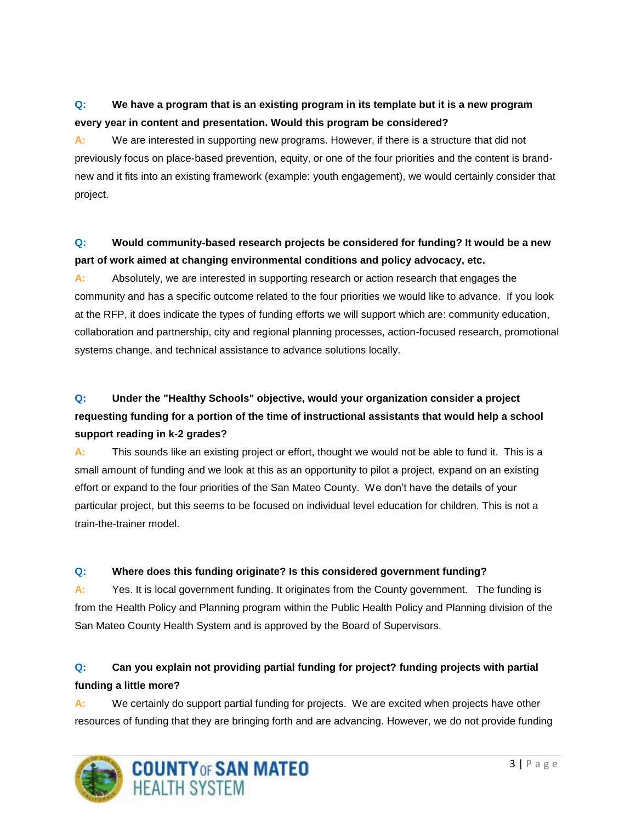# **Q: We have a program that is an existing program in its template but it is a new program every year in content and presentation. Would this program be considered?**

**A:** We are interested in supporting new programs. However, if there is a structure that did not previously focus on place-based prevention, equity, or one of the four priorities and the content is brandnew and it fits into an existing framework (example: youth engagement), we would certainly consider that project.

## **Q: Would community-based research projects be considered for funding? It would be a new part of work aimed at changing environmental conditions and policy advocacy, etc.**

**A:** Absolutely, we are interested in supporting research or action research that engages the community and has a specific outcome related to the four priorities we would like to advance. If you look at the RFP, it does indicate the types of funding efforts we will support which are: community education, collaboration and partnership, city and regional planning processes, action-focused research, promotional systems change, and technical assistance to advance solutions locally.

# **Q: Under the "Healthy Schools" objective, would your organization consider a project requesting funding for a portion of the time of instructional assistants that would help a school support reading in k-2 grades?**

**A:** This sounds like an existing project or effort, thought we would not be able to fund it. This is a small amount of funding and we look at this as an opportunity to pilot a project, expand on an existing effort or expand to the four priorities of the San Mateo County. We don't have the details of your particular project, but this seems to be focused on individual level education for children. This is not a train-the-trainer model.

## **Q: Where does this funding originate? Is this considered government funding?**

**A:** Yes. It is local government funding. It originates from the County government. The funding is from the Health Policy and Planning program within the Public Health Policy and Planning division of the San Mateo County Health System and is approved by the Board of Supervisors.

# **Q: Can you explain not providing partial funding for project? funding projects with partial funding a little more?**

**A:** We certainly do support partial funding for projects. We are excited when projects have other resources of funding that they are bringing forth and are advancing. However, we do not provide funding

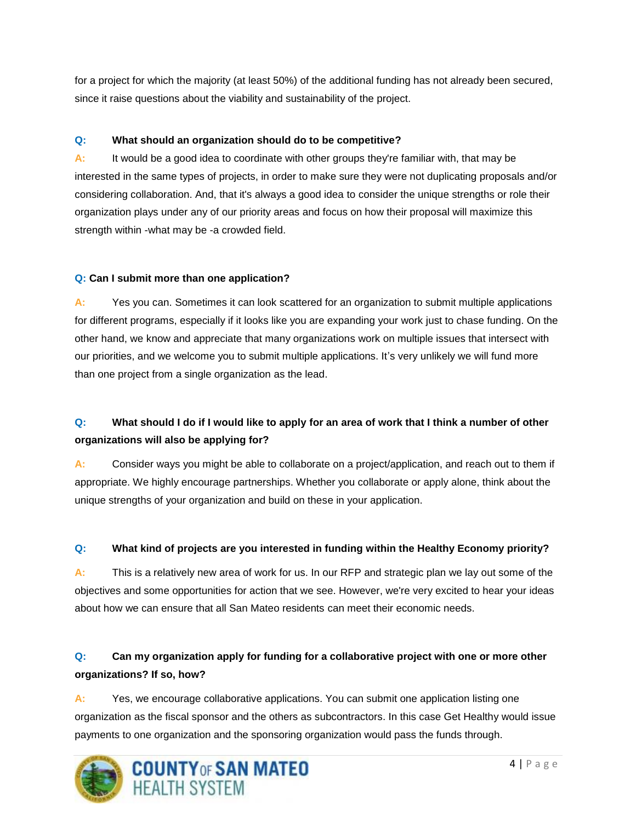for a project for which the majority (at least 50%) of the additional funding has not already been secured, since it raise questions about the viability and sustainability of the project.

## **Q: What should an organization should do to be competitive?**

**A:** It would be a good idea to coordinate with other groups they're familiar with, that may be interested in the same types of projects, in order to make sure they were not duplicating proposals and/or considering collaboration. And, that it's always a good idea to consider the unique strengths or role their organization plays under any of our priority areas and focus on how their proposal will maximize this strength within -what may be -a crowded field.

#### **Q: Can I submit more than one application?**

**A:** Yes you can. Sometimes it can look scattered for an organization to submit multiple applications for different programs, especially if it looks like you are expanding your work just to chase funding. On the other hand, we know and appreciate that many organizations work on multiple issues that intersect with our priorities, and we welcome you to submit multiple applications. It's very unlikely we will fund more than one project from a single organization as the lead.

# **Q: What should I do if I would like to apply for an area of work that I think a number of other organizations will also be applying for?**

**A:** Consider ways you might be able to collaborate on a project/application, and reach out to them if appropriate. We highly encourage partnerships. Whether you collaborate or apply alone, think about the unique strengths of your organization and build on these in your application.

## **Q: What kind of projects are you interested in funding within the Healthy Economy priority?**

**A:** This is a relatively new area of work for us. In our RFP and strategic plan we lay out some of the objectives and some opportunities for action that we see. However, we're very excited to hear your ideas about how we can ensure that all San Mateo residents can meet their economic needs.

# **Q: Can my organization apply for funding for a collaborative project with one or more other organizations? If so, how?**

**A:** Yes, we encourage collaborative applications. You can submit one application listing one organization as the fiscal sponsor and the others as subcontractors. In this case Get Healthy would issue payments to one organization and the sponsoring organization would pass the funds through.

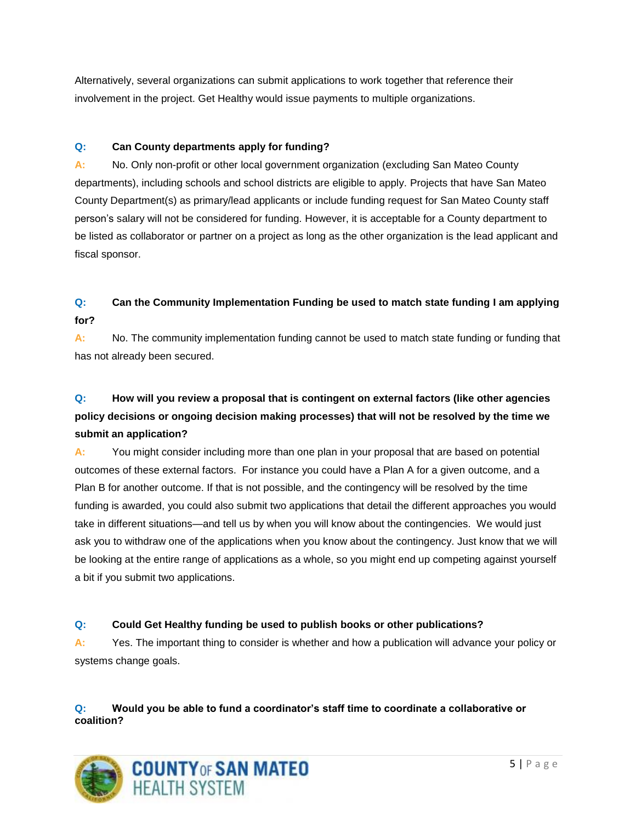Alternatively, several organizations can submit applications to work together that reference their involvement in the project. Get Healthy would issue payments to multiple organizations.

### **Q: Can County departments apply for funding?**

**A:** No. Only non-profit or other local government organization (excluding San Mateo County departments), including schools and school districts are eligible to apply. Projects that have San Mateo County Department(s) as primary/lead applicants or include funding request for San Mateo County staff person's salary will not be considered for funding. However, it is acceptable for a County department to be listed as collaborator or partner on a project as long as the other organization is the lead applicant and fiscal sponsor.

## **Q: Can the Community Implementation Funding be used to match state funding I am applying for?**

**A:** No. The community implementation funding cannot be used to match state funding or funding that has not already been secured.

# **Q: How will you review a proposal that is contingent on external factors (like other agencies policy decisions or ongoing decision making processes) that will not be resolved by the time we submit an application?**

**A:** You might consider including more than one plan in your proposal that are based on potential outcomes of these external factors. For instance you could have a Plan A for a given outcome, and a Plan B for another outcome. If that is not possible, and the contingency will be resolved by the time funding is awarded, you could also submit two applications that detail the different approaches you would take in different situations—and tell us by when you will know about the contingencies. We would just ask you to withdraw one of the applications when you know about the contingency. Just know that we will be looking at the entire range of applications as a whole, so you might end up competing against yourself a bit if you submit two applications.

## **Q: Could Get Healthy funding be used to publish books or other publications?**

**A:** Yes. The important thing to consider is whether and how a publication will advance your policy or systems change goals.

**Q: Would you be able to fund a coordinator's staff time to coordinate a collaborative or coalition?**

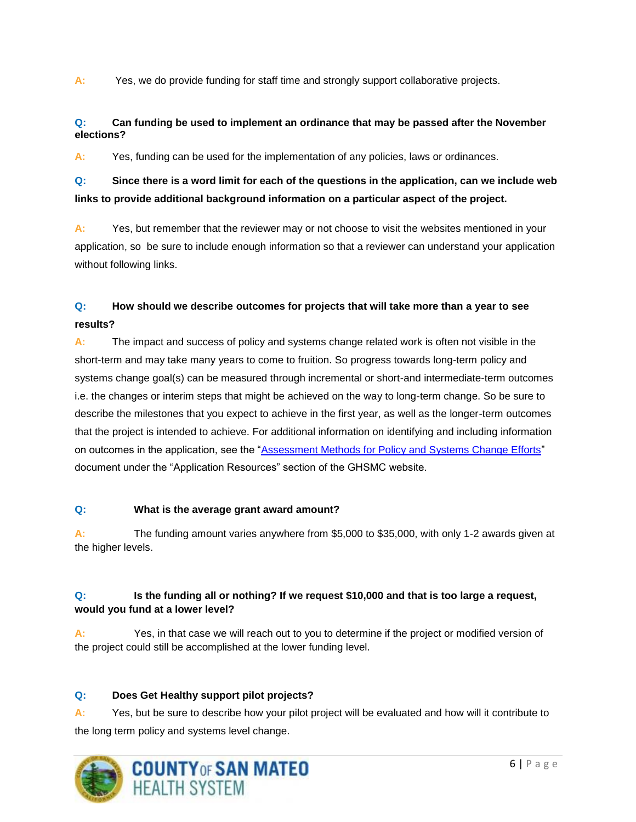**A:** Yes, we do provide funding for staff time and strongly support collaborative projects.

#### **Q: Can funding be used to implement an ordinance that may be passed after the November elections?**

**A:** Yes, funding can be used for the implementation of any policies, laws or ordinances.

# **Q: Since there is a word limit for each of the questions in the application, can we include web links to provide additional background information on a particular aspect of the project.**

**A:** Yes, but remember that the reviewer may or not choose to visit the websites mentioned in your application, so be sure to include enough information so that a reviewer can understand your application without following links.

## **Q: How should we describe outcomes for projects that will take more than a year to see results?**

**A:** The impact and success of policy and systems change related work is often not visible in the short-term and may take many years to come to fruition. So progress towards long-term policy and systems change goal(s) can be measured through incremental or short-and intermediate-term outcomes i.e. the changes or interim steps that might be achieved on the way to long-term change. So be sure to describe the milestones that you expect to achieve in the first year, as well as the longer-term outcomes that the project is intended to achieve. For additional information on identifying and including information on outcomes in the application, see the ["Assessment Methods for Policy and Systems Change Efforts"](http://www.gethealthysmc.org/sites/main/files/file-attachments/outcomes_and_assessmentmethods_resource.pdf) document under the "Application Resources" section of the GHSMC website.

#### **Q: What is the average grant award amount?**

**A:** The funding amount varies anywhere from \$5,000 to \$35,000, with only 1-2 awards given at the higher levels.

#### **Q: Is the funding all or nothing? If we request \$10,000 and that is too large a request, would you fund at a lower level?**

**A:** Yes, in that case we will reach out to you to determine if the project or modified version of the project could still be accomplished at the lower funding level.

#### **Q: Does Get Healthy support pilot projects?**

**A:** Yes, but be sure to describe how your pilot project will be evaluated and how will it contribute to the long term policy and systems level change.